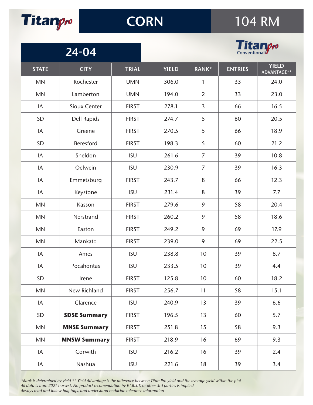

## **CORN**

## 104 RM



| 24-04        |                     |              |  | <b>E ECHIVro</b> |                 |                |                             |  |
|--------------|---------------------|--------------|--|------------------|-----------------|----------------|-----------------------------|--|
| <b>STATE</b> | <b>CITY</b>         | <b>TRIAL</b> |  | <b>YIELD</b>     | <b>RANK*</b>    | <b>ENTRIES</b> | <b>YIELD</b><br>ADVANTAGE** |  |
| <b>MN</b>    | Rochester           | <b>UMN</b>   |  | 306.0            | 1               | 33             | 24.0                        |  |
| <b>MN</b>    | Lamberton           | <b>UMN</b>   |  | 194.0            | $\overline{2}$  | 33             | 23.0                        |  |
| IA           | Sioux Center        | <b>FIRST</b> |  | 278.1            | 3               | 66             | 16.5                        |  |
| SD           | <b>Dell Rapids</b>  | <b>FIRST</b> |  | 274.7            | 5               | 60             | 20.5                        |  |
| IA           | Greene              | <b>FIRST</b> |  | 270.5            | 5               | 66             | 18.9                        |  |
| SD           | Beresford           | <b>FIRST</b> |  | 198.3            | 5               | 60             | 21.2                        |  |
| IA           | Sheldon             | <b>ISU</b>   |  | 261.6            | $\overline{7}$  | 39             | 10.8                        |  |
| IA           | Oelwein             | <b>ISU</b>   |  | 230.9            | $\overline{7}$  | 39             | 16.3                        |  |
| IA           | Emmetsburg          | <b>FIRST</b> |  | 243.7            | 8               | 66             | 12.3                        |  |
| IA           | Keystone            | <b>ISU</b>   |  | 231.4            | 8               | 39             | 7.7                         |  |
| <b>MN</b>    | Kasson              | <b>FIRST</b> |  | 279.6            | 9               | 58             | 20.4                        |  |
| <b>MN</b>    | Nerstrand           | <b>FIRST</b> |  | 260.2            | 9               | 58             | 18.6                        |  |
| <b>MN</b>    | Easton              | <b>FIRST</b> |  | 249.2            | 9               | 69             | 17.9                        |  |
| <b>MN</b>    | Mankato             | <b>FIRST</b> |  | 239.0            | 9               | 69             | 22.5                        |  |
| IA           | Ames                | <b>ISU</b>   |  | 238.8            | 10              | 39             | 8.7                         |  |
| IA           | Pocahontas          | <b>ISU</b>   |  | 233.5            | 10              | 39             | 4.4                         |  |
| SD           | Irene               | <b>FIRST</b> |  | 125.8            | 10 <sup>°</sup> | 60             | 18.2                        |  |
| <b>MN</b>    | New Richland        | <b>FIRST</b> |  | 256.7            | 11              | 58             | 15.1                        |  |
| IA           | Clarence            | <b>ISU</b>   |  | 240.9            | 13              | 39             | 6.6                         |  |
| SD           | <b>SDSE Summary</b> | <b>FIRST</b> |  | 196.5            | 13              | 60             | 5.7                         |  |
| <b>MN</b>    | <b>MNSE Summary</b> | <b>FIRST</b> |  | 251.8            | 15              | 58             | 9.3                         |  |
| <b>MN</b>    | <b>MNSW Summary</b> | <b>FIRST</b> |  | 218.9            | 16              | 69             | 9.3                         |  |
| IA           | Corwith             | <b>ISU</b>   |  | 216.2            | 16              | 39             | 2.4                         |  |
| IA           | Nashua              | <b>ISU</b>   |  | 221.6            | 18              | 39             | 3.4                         |  |

*\*Rank is determined by yield \*\* Yield Advantage is the difference between Titan Pro yield and the average yield within the plot All data is from 2021 harvest. No product recomendation by F.I.R.S.T. or other 3rd parties is implied Always read and follow bag tags, and understand herbicide tolerance information*